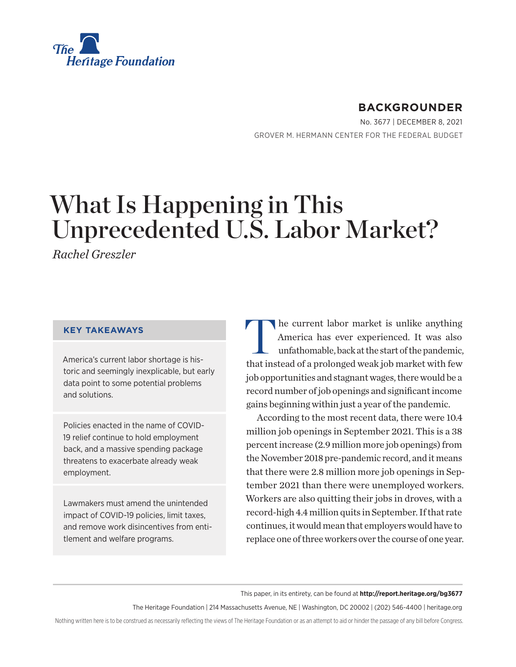

# **BACKGROUNDER**

No. 3677 | December 8, 2021 GROVER M. HERMANN CENTER FOR THE FEDERAL BUDGET

# What Is Happening in This Unprecedented U.S. Labor Market?

*Rachel Greszler*

### **KEY TAKEAWAYS**

America's current labor shortage is historic and seemingly inexplicable, but early data point to some potential problems and solutions.

Policies enacted in the name of COVID-19 relief continue to hold employment back, and a massive spending package threatens to exacerbate already weak employment.

Lawmakers must amend the unintended impact of COVID-19 policies, limit taxes, and remove work disincentives from entitlement and welfare programs.

The current labor market is unlike anything America has ever experienced. It was also unfathomable, back at the start of the pandemic, that instead of a prolonged weak job market with few job opportunities and stagnant wages, there would be a record number of job openings and significant income gains beginning within just a year of the pandemic.

According to the most recent data, there were 10.4 million job openings in September 2021. This is a 38 percent increase (2.9 million more job openings) from the November 2018 pre-pandemic record, and it means that there were 2.8 million more job openings in September 2021 than there were unemployed workers. Workers are also quitting their jobs in droves, with a record-high 4.4 million quits in September. If that rate continues, it would mean that employers would have to replace one of three workers over the course of one year.

This paper, in its entirety, can be found at **http://report.heritage.org/bg3677**

The Heritage Foundation | 214 Massachusetts Avenue, NE | Washington, DC 20002 | (202) 546-4400 | [heritage.org](https://www.hhs.gov/about/news/2018/09/24/statement-from-the-department-of-health-and-human-services.html)

Nothing written here is to be construed as necessarily reflecting the views of The Heritage Foundation or as an attempt to aid or hinder the passage of any bill before Congress.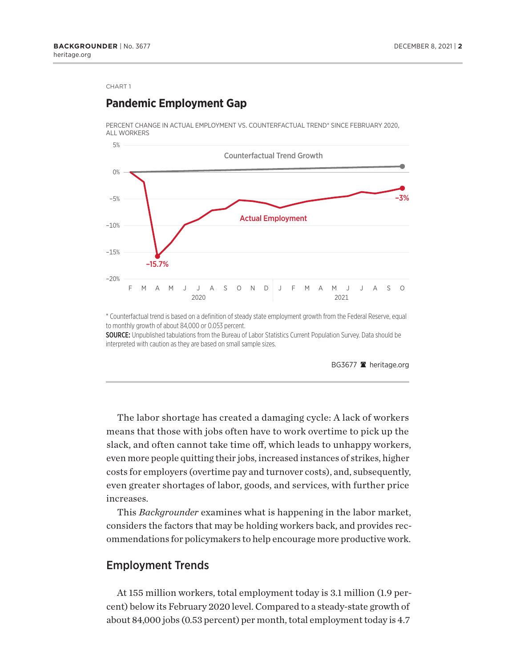## **Pandemic Employment Gap**

PERCENT CHANGE IN ACTUAL EMPLOYMENT VS. COUNTERFACTUAL TREND\* SINCE FEBRUARY 2020, ALL WORKERS



\* Counterfactual trend is based on a definition of steady state employment growth from the Federal Reserve, equal to monthly growth of about 84,000 or 0.053 percent.

SOURCE: Unpublished tabulations from the Bureau of Labor Statistics Current Population Survey. Data should be interpreted with caution as they are based on small sample sizes.

BG3677 **a** heritage.org

The labor shortage has created a damaging cycle: A lack of workers means that those with jobs often have to work overtime to pick up the slack, and often cannot take time off, which leads to unhappy workers, even more people quitting their jobs, increased instances of strikes, higher costs for employers (overtime pay and turnover costs), and, subsequently, even greater shortages of labor, goods, and services, with further price increases.

This *Backgrounder* examines what is happening in the labor market, considers the factors that may be holding workers back, and provides recommendations for policymakers to help encourage more productive work.

### Employment Trends

At 155 million workers, total employment today is 3.1 million (1.9 percent) below its February 2020 level. Compared to a steady-state growth of about 84,000 jobs (0.53 percent) per month, total employment today is 4.7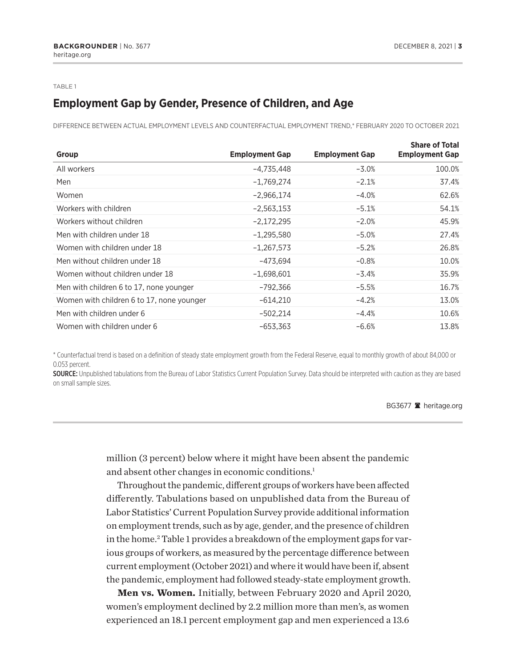#### <span id="page-2-0"></span>TABLE 1

# **Employment Gap by Gender, Presence of Children, and Age**

DIFFERENCE BETWEEN ACTUAL EMPLOYMENT LEVELS AND COUNTERFACTUAL EMPLOYMENT TREND,\* FEBRUARY 2020 TO OCTOBER 2021

| Group                                     | <b>Employment Gap</b> | <b>Employment Gap</b> | <b>Share of Total</b><br><b>Employment Gap</b> |
|-------------------------------------------|-----------------------|-----------------------|------------------------------------------------|
| All workers                               | -4,735,448            | $-3.0%$               | 100.0%                                         |
| Men                                       | $-1,769,274$          | $-2.1%$               | 37.4%                                          |
| Women                                     | $-2,966,174$          | $-4.0%$               | 62.6%                                          |
| Workers with children                     | $-2,563,153$          | $-5.1%$               | 54.1%                                          |
| Workers without children                  | $-2,172,295$          | $-2.0%$               | 45.9%                                          |
| Men with children under 18                | $-1,295,580$          | $-5.0%$               | 27.4%                                          |
| Women with children under 18              | $-1,267,573$          | $-5.2%$               | 26.8%                                          |
| Men without children under 18             | $-473.694$            | $-0.8%$               | 10.0%                                          |
| Women without children under 18           | $-1,698,601$          | $-3.4%$               | 35.9%                                          |
| Men with children 6 to 17, none younger   | $-792,366$            | $-5.5%$               | 16.7%                                          |
| Women with children 6 to 17, none younger | $-614,210$            | $-4.2%$               | 13.0%                                          |
| Men with children under 6                 | $-502,214$            | $-4.4%$               | 10.6%                                          |
| Women with children under 6               | $-653,363$            | $-6.6%$               | 13.8%                                          |

\* Counterfactual trend is based on a defi nition of steady state employment growth from the Federal Reserve, equal to monthly growth of about 84,000 or 0.053 percent.

SOURCE: Unpublished tabulations from the Bureau of Labor Statistics Current Population Survey. Data should be interpreted with caution as they are based on small sample sizes.

### BG3677 <sup>a</sup> heritage.org

million (3 percent) below where it might have been absent the pandemic and absent other changes in economic conditions.<sup>[1](#page-21-0)</sup>

Throughout the pandemic, different groups of workers have been affected differently. Tabulations based on unpublished data from the Bureau of Labor Statistics' Current Population Survey provide additional information on employment trends, such as by age, gender, and the presence of children in the home[.2](#page-21-0) Table 1 provides a breakdown of the employment gaps for various groups of workers, as measured by the percentage difference between current employment (October 2021) and where it would have been if, absent the pandemic, employment had followed steady-state employment growth.

**Men vs. Women.** Initially, between February 2020 and April 2020, women's employment declined by 2.2 million more than men's, as women experienced an 18.1 percent employment gap and men experienced a 13.6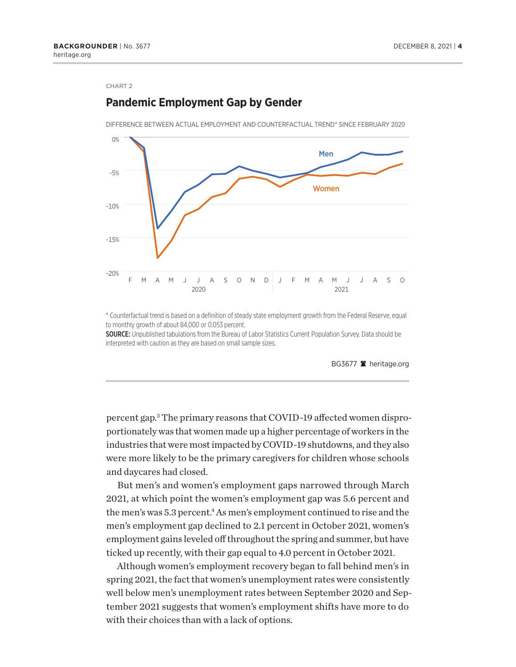# <span id="page-3-0"></span>**Pandemic Employment Gap by Gender**

DIFFERENCE BETWEEN ACTUAL EMPLOYMENT AND COUNTERFACTUAL TREND\* SINCE FEBRUARY 2020



\* Counterfactual trend is based on a definition of steady state employment growth from the Federal Reserve, equal to monthly growth of about 84,000 or 0.053 percent.

SOURCE: Unpublished tabulations from the Bureau of Labor Statistics Current Population Survey. Data should be interpreted with caution as they are based on small sample sizes.



percent gap[.3](#page-21-0) The primary reasons that COVID-19 affected women disproportionately was that women made up a higher percentage of workers in the industries that were most impacted by COVID-19 shutdowns, and they also were more likely to be the primary caregivers for children whose schools and daycares had closed.

But men's and women's employment gaps narrowed through March 2021, at which point the women's employment gap was 5.6 percent and the men's was 5.3 percent.<sup>4</sup> As men's employment continued to rise and the men's employment gap declined to 2.1 percent in October 2021, women's employment gains leveled off throughout the spring and summer, but have ticked up recently, with their gap equal to 4.0 percent in October 2021.

Although women's employment recovery began to fall behind men's in spring 2021, the fact that women's unemployment rates were consistently well below men's unemployment rates between September 2020 and September 2021 suggests that women's employment shifts have more to do with their choices than with a lack of options.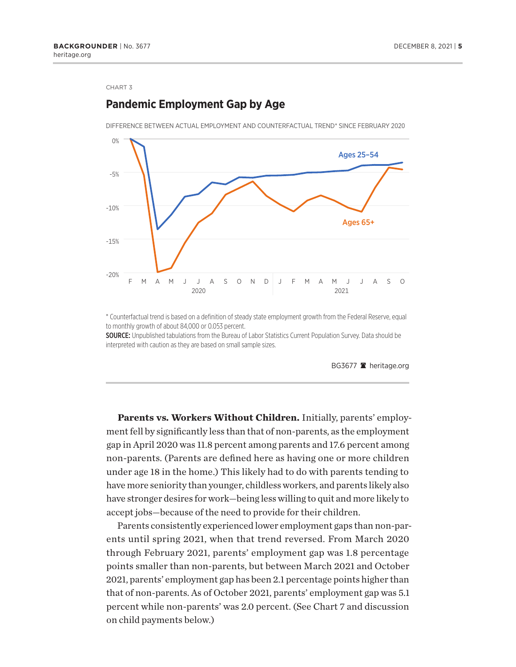# **Pandemic Employment Gap by Age**

DIFFERENCE BETWEEN ACTUAL EMPLOYMENT AND COUNTERFACTUAL TREND\* SINCE FEBRUARY 2020



\* Counterfactual trend is based on a definition of steady state employment growth from the Federal Reserve, equal to monthly growth of about 84,000 or 0.053 percent.

SOURCE: Unpublished tabulations from the Bureau of Labor Statistics Current Population Survey. Data should be interpreted with caution as they are based on small sample sizes.



**Parents vs. Workers Without Children.** Initially, parents' employment fell by significantly less than that of non-parents, as the employment gap in April 2020 was 11.8 percent among parents and 17.6 percent among non-parents. (Parents are defined here as having one or more children under age 18 in the home.) This likely had to do with parents tending to have more seniority than younger, childless workers, and parents likely also have stronger desires for work—being less willing to quit and more likely to accept jobs—because of the need to provide for their children.

Parents consistently experienced lower employment gaps than non-parents until spring 2021, when that trend reversed. From March 2020 through February 2021, parents' employment gap was 1.8 percentage points smaller than non-parents, but between March 2021 and October 2021, parents' employment gap has been 2.1 percentage points higher than that of non-parents. As of October 2021, parents' employment gap was 5.1 percent while non-parents' was 2.0 percent. (See Chart 7 and discussion on child payments below.)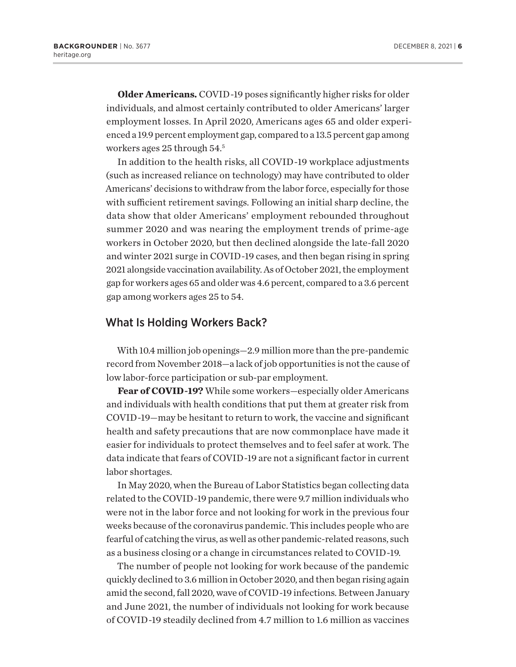<span id="page-5-0"></span>**Older Americans.** COVID-19 poses significantly higher risks for older individuals, and almost certainly contributed to older Americans' larger employment losses. In April 2020, Americans ages 65 and older experienced a 19.9 percent employment gap, compared to a 13.5 percent gap among workers ages 25 through 54[.5](#page-21-0)

In addition to the health risks, all COVID-19 workplace adjustments (such as increased reliance on technology) may have contributed to older Americans' decisions to withdraw from the labor force, especially for those with sufficient retirement savings. Following an initial sharp decline, the data show that older Americans' employment rebounded throughout summer 2020 and was nearing the employment trends of prime-age workers in October 2020, but then declined alongside the late-fall 2020 and winter 2021 surge in COVID-19 cases, and then began rising in spring 2021 alongside vaccination availability. As of October 2021, the employment gap for workers ages 65 and older was 4.6 percent, compared to a 3.6 percent gap among workers ages 25 to 54.

### What Is Holding Workers Back?

With 10.4 million job openings—2.9 million more than the pre-pandemic record from November 2018—a lack of job opportunities is not the cause of low labor-force participation or sub-par employment.

**Fear of COVID-19?** While some workers—especially older Americans and individuals with health conditions that put them at greater risk from COVID-19—may be hesitant to return to work, the vaccine and significant health and safety precautions that are now commonplace have made it easier for individuals to protect themselves and to feel safer at work. The data indicate that fears of COVID-19 are not a significant factor in current labor shortages.

In May 2020, when the Bureau of Labor Statistics began collecting data related to the COVID-19 pandemic, there were 9.7 million individuals who were not in the labor force and not looking for work in the previous four weeks because of the coronavirus pandemic. This includes people who are fearful of catching the virus, as well as other pandemic-related reasons, such as a business closing or a change in circumstances related to COVID-19.

The number of people not looking for work because of the pandemic quickly declined to 3.6 million in October 2020, and then began rising again amid the second, fall 2020, wave of COVID-19 infections. Between January and June 2021, the number of individuals not looking for work because of COVID-19 steadily declined from 4.7 million to 1.6 million as vaccines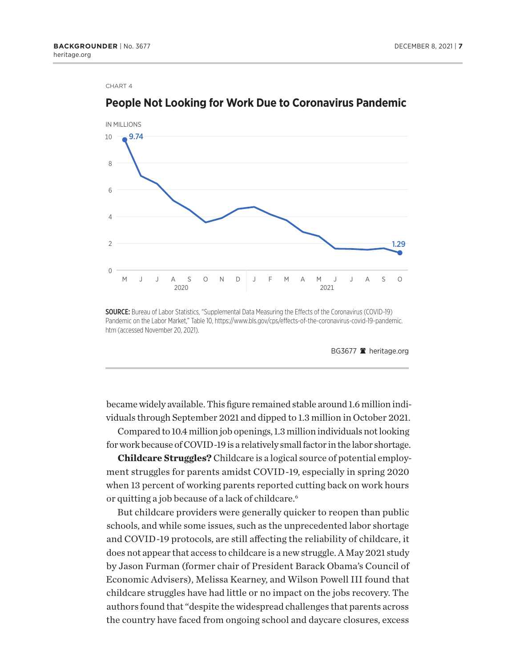

# <span id="page-6-0"></span>**People Not Looking for Work Due to Coronavirus Pandemic**

SOURCE: Bureau of Labor Statistics, "Supplemental Data Measuring the Effects of the Coronavirus (COVID-19) Pandemic on the Labor Market," Table 10, https://www.bls.gov/cps/effects-of-the-coronavirus-covid-19-pandemic. htm (accessed November 20, 2021).

BG3677 **a** heritage.org

became widely available. This figure remained stable around 1.6 million individuals through September 2021 and dipped to 1.3 million in October 2021.

Compared to 10.4 million job openings, 1.3 million individuals not looking for work because of COVID-19 is a relatively small factor in the labor shortage.

**Childcare Struggles?** Childcare is a logical source of potential employment struggles for parents amidst COVID-19, especially in spring 2020 when 13 percent of working parents reported cutting back on work hours or quitting a job because of a lack of childcare.<sup>6</sup>

But childcare providers were generally quicker to reopen than public schools, and while some issues, such as the unprecedented labor shortage and COVID-19 protocols, are still affecting the reliability of childcare, it does not appear that access to childcare is a new struggle. A May 2021 study by Jason Furman (former chair of President Barack Obama's Council of Economic Advisers), Melissa Kearney, and Wilson Powell III found that childcare struggles have had little or no impact on the jobs recovery. The authors found that "despite the widespread challenges that parents across the country have faced from ongoing school and daycare closures, excess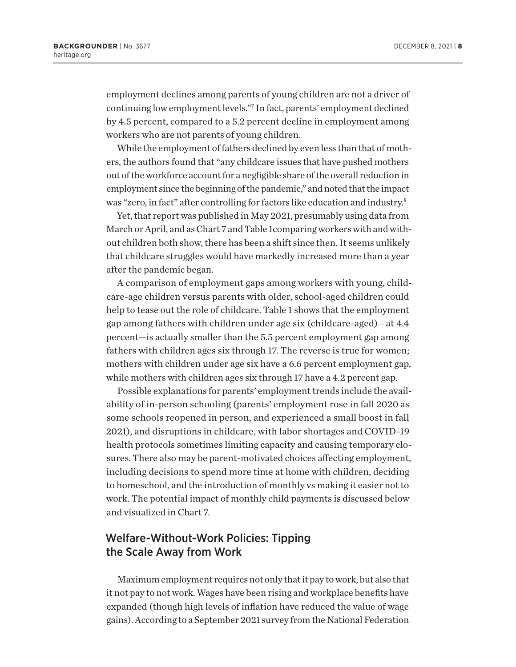<span id="page-7-0"></span>employment declines among parents of young children are not a driver of continuing low employment levels.["7](#page-21-0) In fact, parents' employment declined by 4.5 percent, compared to a 5.2 percent decline in employment among workers who are not parents of young children.

While the employment of fathers declined by even less than that of mothers, the authors found that "any childcare issues that have pushed mothers out of the workforce account for a negligible share of the overall reduction in employment since the beginning of the pandemic," and noted that the impact was "zero, in fact" after controlling for factors like education and industry.<sup>8</sup>

Yet, that report was published in May 2021, presumably using data from March or April, and as Chart 7 and Table 1comparing workers with and without children both show, there has been a shift since then. It seems unlikely that childcare struggles would have markedly increased more than a year after the pandemic began.

A comparison of employment gaps among workers with young, childcare-age children versus parents with older, school-aged children could help to tease out the role of childcare. Table 1 shows that the employment gap among fathers with children under age six (childcare-aged)—at 4.4 percent—is actually smaller than the 5.5 percent employment gap among fathers with children ages six through 17. The reverse is true for women; mothers with children under age six have a 6.6 percent employment gap, while mothers with children ages six through 17 have a 4.2 percent gap.

Possible explanations for parents' employment trends include the availability of in-person schooling (parents' employment rose in fall 2020 as some schools reopened in person, and experienced a small boost in fall 2021), and disruptions in childcare, with labor shortages and COVID-19 health protocols sometimes limiting capacity and causing temporary closures. There also may be parent-motivated choices affecting employment, including decisions to spend more time at home with children, deciding to homeschool, and the introduction of monthly vs making it easier not to work. The potential impact of monthly child payments is discussed below and visualized in Chart 7.

# Welfare-Without-Work Policies: Tipping the Scale Away from Work

Maximum employment requires not only that it pay to work, but also that it not pay to not work. Wages have been rising and workplace benefits have expanded (though high levels of inflation have reduced the value of wage gains). According to a September 2021 survey from the National Federation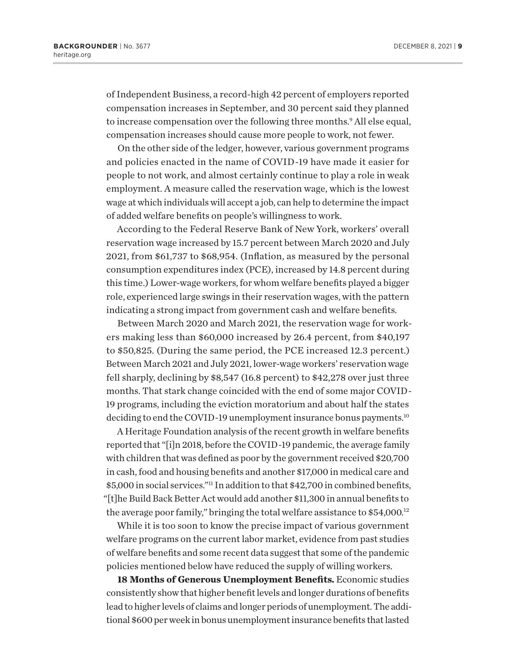<span id="page-8-0"></span>of Independent Business, a record-high 42 percent of employers reported compensation increases in September, and 30 percent said they planned to increase compensation over the following three months.<sup>[9](#page-21-0)</sup> All else equal, compensation increases should cause more people to work, not fewer.

On the other side of the ledger, however, various government programs and policies enacted in the name of COVID-19 have made it easier for people to not work, and almost certainly continue to play a role in weak employment. A measure called the reservation wage, which is the lowest wage at which individuals will accept a job, can help to determine the impact of added welfare benefits on people's willingness to work.

According to the Federal Reserve Bank of New York, workers' overall reservation wage increased by 15.7 percent between March 2020 and July 2021, from \$61,737 to \$68,954. (Inflation, as measured by the personal consumption expenditures index (PCE), increased by 14.8 percent during this time.) Lower-wage workers, for whom welfare benefits played a bigger role, experienced large swings in their reservation wages, with the pattern indicating a strong impact from government cash and welfare benefits.

Between March 2020 and March 2021, the reservation wage for workers making less than \$60,000 increased by 26.4 percent, from \$40,197 to \$50,825. (During the same period, the PCE increased 12.3 percent.) Between March 2021 and July 2021, lower-wage workers' reservation wage fell sharply, declining by \$8,547 (16.8 percent) to \$42,278 over just three months. That stark change coincided with the end of some major COVID-19 programs, including the eviction moratorium and about half the states deciding to end the COVID-19 unemployment insurance bonus payments.<sup>10</sup>

A Heritage Foundation analysis of the recent growth in welfare benefits reported that "[i]n 2018, before the COVID-19 pandemic, the average family with children that was defined as poor by the government received \$20,700 in cash, food and housing benefits and another \$17,000 in medical care and \$5,000 in social services."<sup>11</sup> In addition to that \$42,700 in combined benefits, "[t]he Build Back Better Act would add another \$11,300 in annual benefits to the average poor family," bringing the total welfare assistance to \$54,000.<sup>12</sup>

While it is too soon to know the precise impact of various government welfare programs on the current labor market, evidence from past studies of welfare benefits and some recent data suggest that some of the pandemic policies mentioned below have reduced the supply of willing workers.

**18 Months of Generous Unemployment Benefits.** Economic studies consistently show that higher benefit levels and longer durations of benefits lead to higher levels of claims and longer periods of unemployment. The additional \$600 per week in bonus unemployment insurance benefits that lasted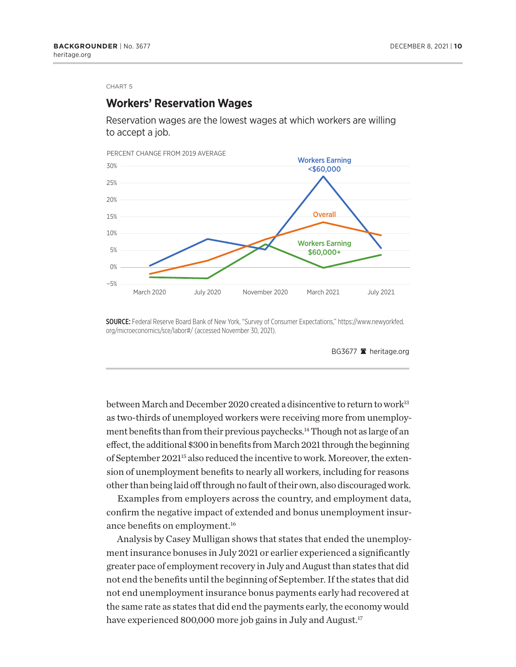### <span id="page-9-0"></span>**Workers' Reservation Wages**

Reservation wages are the lowest wages at which workers are willing to accept a job.



SOURCE: Federal Reserve Board Bank of New York, "Survey of Consumer Expectations," https://www.newyorkfed. org/microeconomics/sce/labor#/ (accessed November 30, 2021).

BG3677 **a** heritage.org

between March and December 2020 created a disincentive to return to work<sup>[13](#page-21-0)</sup> as two-thirds of unemployed workers were receiving more from unemployment benefits than from their previous paychecks.<sup>14</sup> Though not as large of an effect, the additional \$300 in benefits from March 2021 through the beginning of September 2021<sup>15</sup> also reduced the incentive to work. Moreover, the extension of unemployment benefits to nearly all workers, including for reasons other than being laid off through no fault of their own, also discouraged work.

Examples from employers across the country, and employment data, confirm the negative impact of extended and bonus unemployment insur-ance benefits on employment.<sup>[16](#page-21-0)</sup>

Analysis by Casey Mulligan shows that states that ended the unemployment insurance bonuses in July 2021 or earlier experienced a significantly greater pace of employment recovery in July and August than states that did not end the benefits until the beginning of September. If the states that did not end unemployment insurance bonus payments early had recovered at the same rate as states that did end the payments early, the economy would have experienced 800,000 more job gains in July and August.<sup>[17](#page-21-0)</sup>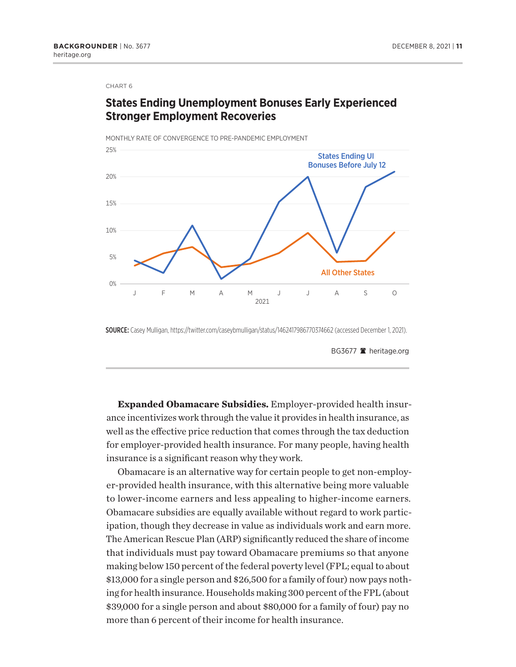# **States Ending Unemployment Bonuses Early Experienced Stronger Employment Recoveries**

MONTHLY RATE OF CONVERGENCE TO PRE-PANDEMIC EMPLOYMENT



SOURCE: Casey Mulligan, https://twitter.com/caseybmulligan/status/1462417986770374662 (accessed December 1, 2021).

BG3677 **a** heritage.org

**Expanded Obamacare Subsidies.** Employer-provided health insurance incentivizes work through the value it provides in health insurance, as well as the effective price reduction that comes through the tax deduction for employer-provided health insurance. For many people, having health insurance is a significant reason why they work.

Obamacare is an alternative way for certain people to get non-employer-provided health insurance, with this alternative being more valuable to lower-income earners and less appealing to higher-income earners. Obamacare subsidies are equally available without regard to work participation, though they decrease in value as individuals work and earn more. The American Rescue Plan (ARP) significantly reduced the share of income that individuals must pay toward Obamacare premiums so that anyone making below 150 percent of the federal poverty level (FPL; equal to about \$13,000 for a single person and \$26,500 for a family of four) now pays nothing for health insurance. Households making 300 percent of the FPL (about \$39,000 for a single person and about \$80,000 for a family of four) pay no more than 6 percent of their income for health insurance.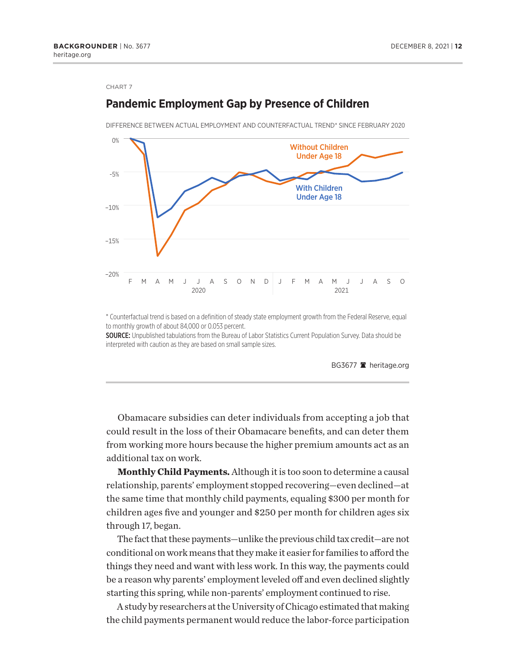# –20% –15% –10% -5% 0% F M A M J J A S O N D J F M A M J J A S O 2020 2021 With Children Under Age 18 Without Children Under Age 18 DIFFERENCE BETWEEN ACTUAL EMPLOYMENT AND COUNTERFACTUAL TREND\* SINCE FEBRUARY 2020

**Pandemic Employment Gap by Presence of Children**

\* Counterfactual trend is based on a definition of steady state employment growth from the Federal Reserve, equal to monthly growth of about 84,000 or 0.053 percent.

SOURCE: Unpublished tabulations from the Bureau of Labor Statistics Current Population Survey. Data should be interpreted with caution as they are based on small sample sizes.

BG3677 a heritage.org

Obamacare subsidies can deter individuals from accepting a job that could result in the loss of their Obamacare benefits, and can deter them from working more hours because the higher premium amounts act as an additional tax on work.

**Monthly Child Payments.** Although it is too soon to determine a causal relationship, parents' employment stopped recovering—even declined—at the same time that monthly child payments, equaling \$300 per month for children ages five and younger and \$250 per month for children ages six through 17, began.

The fact that these payments—unlike the previous child tax credit—are not conditional on work means that they make it easier for families to afford the things they need and want with less work. In this way, the payments could be a reason why parents' employment leveled off and even declined slightly starting this spring, while non-parents' employment continued to rise.

A study by researchers at the University of Chicago estimated that making the child payments permanent would reduce the labor-force participation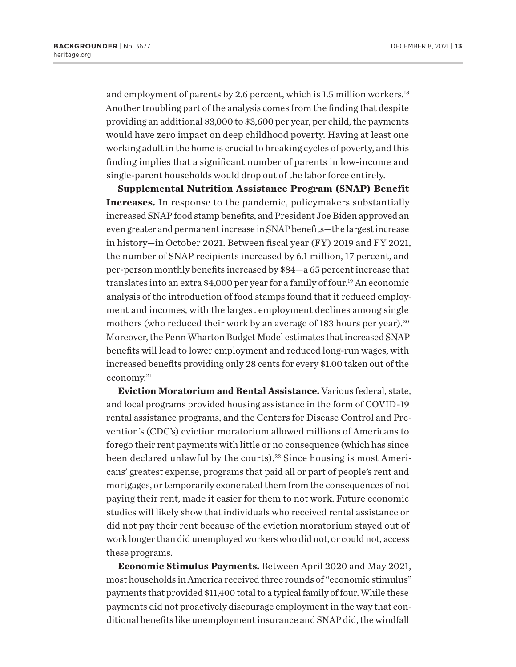<span id="page-12-0"></span>and employment of parents by 2.6 percent, which is 1.5 million workers.<sup>18</sup> Another troubling part of the analysis comes from the finding that despite providing an additional \$3,000 to \$3,600 per year, per child, the payments would have zero impact on deep childhood poverty. Having at least one working adult in the home is crucial to breaking cycles of poverty, and this finding implies that a significant number of parents in low-income and single-parent households would drop out of the labor force entirely.

**Supplemental Nutrition Assistance Program (SNAP) Benefit Increases.** In response to the pandemic, policymakers substantially increased SNAP food stamp benefits, and President Joe Biden approved an even greater and permanent increase in SNAP benefits—the largest increase in history—in October 2021. Between fiscal year (FY) 2019 and FY 2021, the number of SNAP recipients increased by 6.1 million, 17 percent, and per-person monthly benefits increased by \$84—a 65 percent increase that translates into an extra \$4,000 per year for a family of four.<sup>[19](#page-21-0)</sup> An economic analysis of the introduction of food stamps found that it reduced employment and incomes, with the largest employment declines among single mothers (who reduced their work by an average of 183 hours per year).<sup>20</sup> Moreover, the Penn Wharton Budget Model estimates that increased SNAP benefits will lead to lower employment and reduced long-run wages, with increased benefits providing only 28 cents for every \$1.00 taken out of the economy[.21](#page-21-0)

**Eviction Moratorium and Rental Assistance.** Various federal, state, and local programs provided housing assistance in the form of COVID-19 rental assistance programs, and the Centers for Disease Control and Prevention's (CDC's) eviction moratorium allowed millions of Americans to forego their rent payments with little or no consequence (which has since been declared unlawful by the courts).<sup>22</sup> Since housing is most Americans' greatest expense, programs that paid all or part of people's rent and mortgages, or temporarily exonerated them from the consequences of not paying their rent, made it easier for them to not work. Future economic studies will likely show that individuals who received rental assistance or did not pay their rent because of the eviction moratorium stayed out of work longer than did unemployed workers who did not, or could not, access these programs.

**Economic Stimulus Payments.** Between April 2020 and May 2021, most households in America received three rounds of "economic stimulus" payments that provided \$11,400 total to a typical family of four. While these payments did not proactively discourage employment in the way that conditional benefits like unemployment insurance and SNAP did, the windfall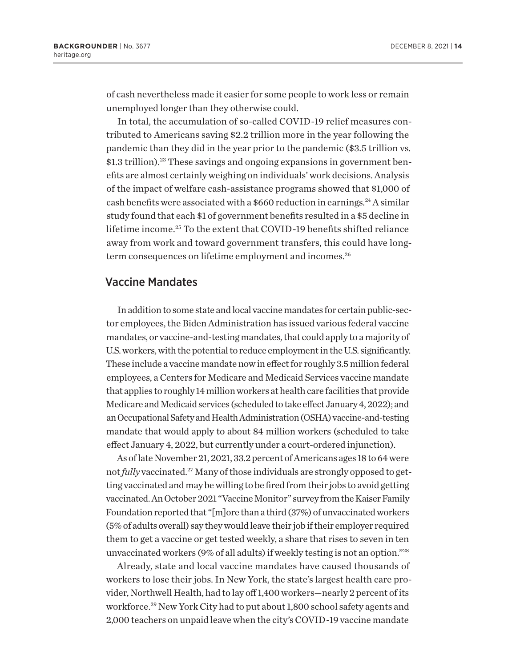<span id="page-13-0"></span>of cash nevertheless made it easier for some people to work less or remain unemployed longer than they otherwise could.

In total, the accumulation of so-called COVID-19 relief measures contributed to Americans saving \$2.2 trillion more in the year following the pandemic than they did in the year prior to the pandemic (\$3.5 trillion vs. \$1.3 trillion).<sup>23</sup> These savings and ongoing expansions in government benefits are almost certainly weighing on individuals' work decisions. Analysis of the impact of welfare cash-assistance programs showed that \$1,000 of cash benefits were associated with a \$660 reduction in earnings.<sup>24</sup> A similar study found that each \$1 of government benefits resulted in a \$5 decline in lifetime income.[25](#page-22-0) To the extent that COVID-19 benefits shifted reliance away from work and toward government transfers, this could have longterm consequences on lifetime employment and incomes.<sup>26</sup>

### Vaccine Mandates

In addition to some state and local vaccine mandates for certain public-sector employees, the Biden Administration has issued various federal vaccine mandates, or vaccine-and-testing mandates, that could apply to a majority of U.S. workers, with the potential to reduce employment in the U.S. significantly. These include a vaccine mandate now in effect for roughly 3.5 million federal employees, a Centers for Medicare and Medicaid Services vaccine mandate that applies to roughly 14 million workers at health care facilities that provide Medicare and Medicaid services (scheduled to take effect January 4, 2022); and an Occupational Safety and Health Administration (OSHA) vaccine-and-testing mandate that would apply to about 84 million workers (scheduled to take effect January 4, 2022, but currently under a court-ordered injunction).

As of late November 21, 2021, 33.2 percent of Americans ages 18 to 64 were not *fully* vaccinated.<sup>27</sup> Many of those individuals are strongly opposed to getting vaccinated and may be willing to be fired from their jobs to avoid getting vaccinated. An October 2021 "Vaccine Monitor" survey from the Kaiser Family Foundation reported that "[m]ore than a third (37%) of unvaccinated workers (5% of adults overall) say they would leave their job if their employer required them to get a vaccine or get tested weekly, a share that rises to seven in ten unvaccinated workers (9% of all adults) if weekly testing is not an option.["28](#page-22-0)

Already, state and local vaccine mandates have caused thousands of workers to lose their jobs. In New York, the state's largest health care provider, Northwell Health, had to lay off 1,400 workers—nearly 2 percent of its workforce.<sup>29</sup> New York City had to put about 1,800 school safety agents and 2,000 teachers on unpaid leave when the city's COVID-19 vaccine mandate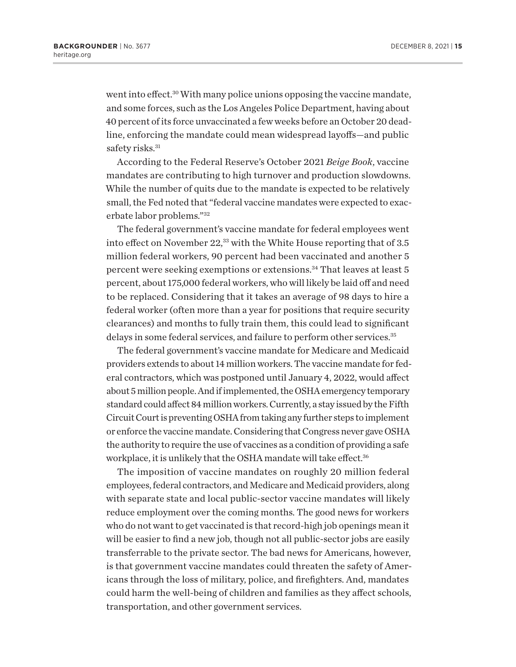<span id="page-14-0"></span>went into effect.<sup>[30](#page-22-0)</sup> With many police unions opposing the vaccine mandate, and some forces, such as the Los Angeles Police Department, having about 40 percent of its force unvaccinated a few weeks before an October 20 deadline, enforcing the mandate could mean widespread layoffs—and public safety risks.<sup>31</sup>

According to the Federal Reserve's October 2021 *Beige Book*, vaccine mandates are contributing to high turnover and production slowdowns. While the number of quits due to the mandate is expected to be relatively small, the Fed noted that "federal vaccine mandates were expected to exacerbate labor problems."[32](#page-22-0)

The federal government's vaccine mandate for federal employees went into effect on November 22,<sup>33</sup> with the White House reporting that of 3.5 million federal workers, 90 percent had been vaccinated and another 5 percent were seeking exemptions or extensions[.34](#page-22-0) That leaves at least 5 percent, about 175,000 federal workers, who will likely be laid off and need to be replaced. Considering that it takes an average of 98 days to hire a federal worker (often more than a year for positions that require security clearances) and months to fully train them, this could lead to significant delays in some federal services, and failure to perform other services.<sup>35</sup>

The federal government's vaccine mandate for Medicare and Medicaid providers extends to about 14 million workers. The vaccine mandate for federal contractors, which was postponed until January 4, 2022, would affect about 5 million people. And if implemented, the OSHA emergency temporary standard could affect 84 million workers. Currently, a stay issued by the Fifth Circuit Court is preventing OSHA from taking any further steps to implement or enforce the vaccine mandate. Considering that Congress never gave OSHA the authority to require the use of vaccines as a condition of providing a safe workplace, it is unlikely that the OSHA mandate will take effect.<sup>[36](#page-22-0)</sup>

The imposition of vaccine mandates on roughly 20 million federal employees, federal contractors, and Medicare and Medicaid providers, along with separate state and local public-sector vaccine mandates will likely reduce employment over the coming months. The good news for workers who do not want to get vaccinated is that record-high job openings mean it will be easier to find a new job, though not all public-sector jobs are easily transferrable to the private sector. The bad news for Americans, however, is that government vaccine mandates could threaten the safety of Americans through the loss of military, police, and firefighters. And, mandates could harm the well-being of children and families as they affect schools, transportation, and other government services.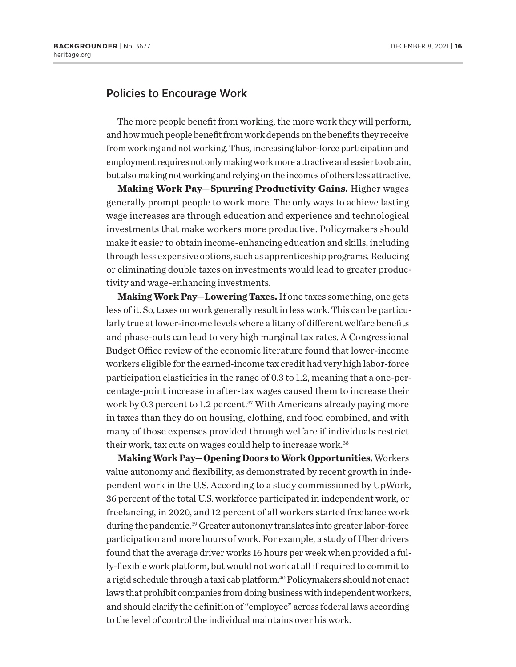# <span id="page-15-0"></span>Policies to Encourage Work

The more people benefit from working, the more work they will perform, and how much people benefit from work depends on the benefits they receive from working and not working. Thus, increasing labor-force participation and employment requires not only making work more attractive and easier to obtain, but also making not working and relying on the incomes of others less attractive.

**Making Work Pay—Spurring Productivity Gains.** Higher wages generally prompt people to work more. The only ways to achieve lasting wage increases are through education and experience and technological investments that make workers more productive. Policymakers should make it easier to obtain income-enhancing education and skills, including through less expensive options, such as apprenticeship programs. Reducing or eliminating double taxes on investments would lead to greater productivity and wage-enhancing investments.

**Making Work Pay—Lowering Taxes.** If one taxes something, one gets less of it. So, taxes on work generally result in less work. This can be particularly true at lower-income levels where a litany of different welfare benefits and phase-outs can lead to very high marginal tax rates. A Congressional Budget Office review of the economic literature found that lower-income workers eligible for the earned-income tax credit had very high labor-force participation elasticities in the range of 0.3 to 1.2, meaning that a one-percentage-point increase in after-tax wages caused them to increase their work by 0.3 percent to 1.2 percent.<sup>37</sup> With Americans already paying more in taxes than they do on housing, clothing, and food combined, and with many of those expenses provided through welfare if individuals restrict their work, tax cuts on wages could help to increase work.<sup>[38](#page-22-0)</sup>

**Making Work Pay—Opening Doors to Work Opportunities.** Workers value autonomy and flexibility, as demonstrated by recent growth in independent work in the U.S. According to a study commissioned by UpWork, 36 percent of the total U.S. workforce participated in independent work, or freelancing, in 2020, and 12 percent of all workers started freelance work during the pandemic.<sup>39</sup> Greater autonomy translates into greater labor-force participation and more hours of work. For example, a study of Uber drivers found that the average driver works 16 hours per week when provided a fully-flexible work platform, but would not work at all if required to commit to a rigid schedule through a taxi cab platform[.40](#page-22-0) Policymakers should not enact laws that prohibit companies from doing business with independent workers, and should clarify the definition of "employee" across federal laws according to the level of control the individual maintains over his work.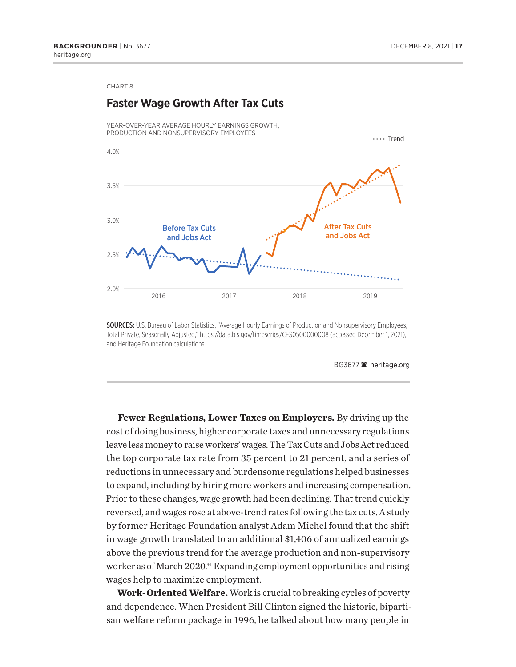<span id="page-16-0"></span>

SOURCES: U.S. Bureau of Labor Statistics, "Average Hourly Earnings of Production and Nonsupervisory Employees, Total Private, Seasonally Adjusted," https://data.bls.gov/timeseries/CES0500000008 (accessed December 1, 2021), and Heritage Foundation calculations.

BG3677<sup>2</sup> heritage.org

**Fewer Regulations, Lower Taxes on Employers.** By driving up the cost of doing business, higher corporate taxes and unnecessary regulations leave less money to raise workers' wages. The Tax Cuts and Jobs Act reduced the top corporate tax rate from 35 percent to 21 percent, and a series of reductions in unnecessary and burdensome regulations helped businesses to expand, including by hiring more workers and increasing compensation. Prior to these changes, wage growth had been declining. That trend quickly reversed, and wages rose at above-trend rates following the tax cuts. A study by former Heritage Foundation analyst Adam Michel found that the shift in wage growth translated to an additional \$1,406 of annualized earnings above the previous trend for the average production and non-supervisory worker as of March 2020.<sup>41</sup> Expanding employment opportunities and rising wages help to maximize employment.

**Work-Oriented Welfare.** Work is crucial to breaking cycles of poverty and dependence. When President Bill Clinton signed the historic, bipartisan welfare reform package in 1996, he talked about how many people in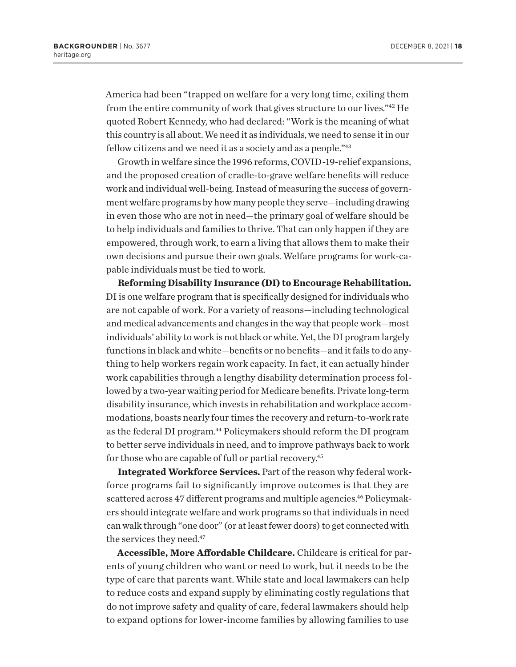<span id="page-17-0"></span>America had been "trapped on welfare for a very long time, exiling them from the entire community of work that gives structure to our lives.["42](#page-22-0) He quoted Robert Kennedy, who had declared: "Work is the meaning of what this country is all about. We need it as individuals, we need to sense it in our fellow citizens and we need it as a society and as a people."[43](#page-23-0)

Growth in welfare since the 1996 reforms, COVID-19-relief expansions, and the proposed creation of cradle-to-grave welfare benefits will reduce work and individual well-being. Instead of measuring the success of government welfare programs by how many people they serve—including drawing in even those who are not in need—the primary goal of welfare should be to help individuals and families to thrive. That can only happen if they are empowered, through work, to earn a living that allows them to make their own decisions and pursue their own goals. Welfare programs for work-capable individuals must be tied to work.

**Reforming Disability Insurance (DI) to Encourage Rehabilitation.** DI is one welfare program that is specifically designed for individuals who are not capable of work. For a variety of reasons—including technological and medical advancements and changes in the way that people work—most individuals' ability to work is not black or white. Yet, the DI program largely functions in black and white—benefits or no benefits—and it fails to do anything to help workers regain work capacity. In fact, it can actually hinder work capabilities through a lengthy disability determination process followed by a two-year waiting period for Medicare benefits. Private long-term disability insurance, which invests in rehabilitation and workplace accommodations, boasts nearly four times the recovery and return-to-work rate as the federal DI program.<sup>44</sup> Policymakers should reform the DI program to better serve individuals in need, and to improve pathways back to work for those who are capable of full or partial recovery.<sup>45</sup>

**Integrated Workforce Services.** Part of the reason why federal workforce programs fail to significantly improve outcomes is that they are scattered across 47 different programs and multiple agencies.<sup>46</sup> Policymakers should integrate welfare and work programs so that individuals in need can walk through "one door" (or at least fewer doors) to get connected with the services they need.<sup>47</sup>

**Accessible, More Affordable Childcare.** Childcare is critical for parents of young children who want or need to work, but it needs to be the type of care that parents want. While state and local lawmakers can help to reduce costs and expand supply by eliminating costly regulations that do not improve safety and quality of care, federal lawmakers should help to expand options for lower-income families by allowing families to use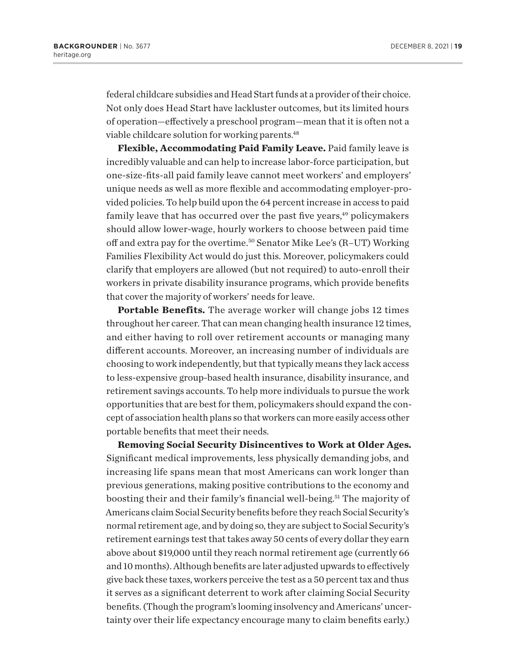<span id="page-18-0"></span>federal childcare subsidies and Head Start funds at a provider of their choice. Not only does Head Start have lackluster outcomes, but its limited hours of operation—effectively a preschool program—mean that it is often not a viable childcare solution for working parents[.48](#page-23-0)

**Flexible, Accommodating Paid Family Leave.** Paid family leave is incredibly valuable and can help to increase labor-force participation, but one-size-fits-all paid family leave cannot meet workers' and employers' unique needs as well as more flexible and accommodating employer-provided policies. To help build upon the 64 percent increase in access to paid family leave that has occurred over the past five years,<sup>49</sup> policymakers should allow lower-wage, hourly workers to choose between paid time off and extra pay for the overtime.<sup>[50](#page-23-0)</sup> Senator Mike Lee's (R–UT) Working Families Flexibility Act would do just this. Moreover, policymakers could clarify that employers are allowed (but not required) to auto-enroll their workers in private disability insurance programs, which provide benefits that cover the majority of workers' needs for leave.

**Portable Benefits.** The average worker will change jobs 12 times throughout her career. That can mean changing health insurance 12 times, and either having to roll over retirement accounts or managing many different accounts. Moreover, an increasing number of individuals are choosing to work independently, but that typically means they lack access to less-expensive group-based health insurance, disability insurance, and retirement savings accounts. To help more individuals to pursue the work opportunities that are best for them, policymakers should expand the concept of association health plans so that workers can more easily access other portable benefits that meet their needs.

**Removing Social Security Disincentives to Work at Older Ages.** Significant medical improvements, less physically demanding jobs, and increasing life spans mean that most Americans can work longer than previous generations, making positive contributions to the economy and boosting their and their family's financial well-being.<sup>51</sup> The majority of Americans claim Social Security benefits before they reach Social Security's normal retirement age, and by doing so, they are subject to Social Security's retirement earnings test that takes away 50 cents of every dollar they earn above about \$19,000 until they reach normal retirement age (currently 66 and 10 months). Although benefits are later adjusted upwards to effectively give back these taxes, workers perceive the test as a 50 percent tax and thus it serves as a significant deterrent to work after claiming Social Security benefits. (Though the program's looming insolvency and Americans' uncertainty over their life expectancy encourage many to claim benefits early.)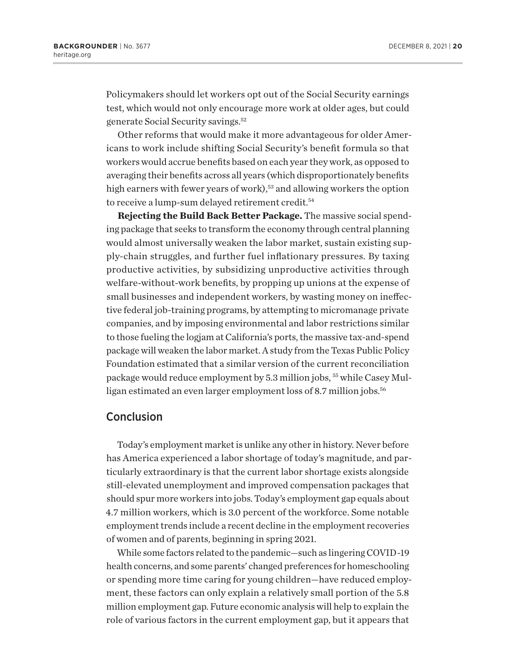<span id="page-19-0"></span>Policymakers should let workers opt out of the Social Security earnings test, which would not only encourage more work at older ages, but could generate Social Security savings.[52](#page-23-0)

Other reforms that would make it more advantageous for older Americans to work include shifting Social Security's benefit formula so that workers would accrue benefits based on each year they work, as opposed to averaging their benefits across all years (which disproportionately benefits high earners with fewer years of work),<sup>53</sup> and allowing workers the option to receive a lump-sum delayed retirement credit.<sup>[54](#page-23-0)</sup>

**Rejecting the Build Back Better Package.** The massive social spending package that seeks to transform the economy through central planning would almost universally weaken the labor market, sustain existing supply-chain struggles, and further fuel inflationary pressures. By taxing productive activities, by subsidizing unproductive activities through welfare-without-work benefits, by propping up unions at the expense of small businesses and independent workers, by wasting money on ineffective federal job-training programs, by attempting to micromanage private companies, and by imposing environmental and labor restrictions similar to those fueling the logjam at California's ports, the massive tax-and-spend package will weaken the labor market. A study from the Texas Public Policy Foundation estimated that a similar version of the current reconciliation package would reduce employment by 5.3 million jobs, [55](#page-23-0) while Casey Mul-ligan estimated an even larger employment loss of 8.7 million jobs.<sup>[56](#page-23-0)</sup>

### Conclusion

Today's employment market is unlike any other in history. Never before has America experienced a labor shortage of today's magnitude, and particularly extraordinary is that the current labor shortage exists alongside still-elevated unemployment and improved compensation packages that should spur more workers into jobs. Today's employment gap equals about 4.7 million workers, which is 3.0 percent of the workforce. Some notable employment trends include a recent decline in the employment recoveries of women and of parents, beginning in spring 2021.

While some factors related to the pandemic—such as lingering COVID-19 health concerns, and some parents' changed preferences for homeschooling or spending more time caring for young children—have reduced employment, these factors can only explain a relatively small portion of the 5.8 million employment gap. Future economic analysis will help to explain the role of various factors in the current employment gap, but it appears that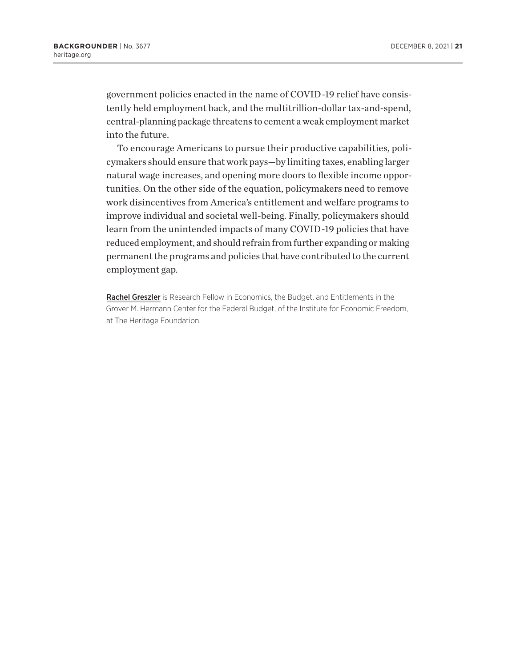government policies enacted in the name of COVID-19 relief have consistently held employment back, and the multitrillion-dollar tax-and-spend, central-planning package threatens to cement a weak employment market into the future.

To encourage Americans to pursue their productive capabilities, policymakers should ensure that work pays—by limiting taxes, enabling larger natural wage increases, and opening more doors to flexible income opportunities. On the other side of the equation, policymakers need to remove work disincentives from America's entitlement and welfare programs to improve individual and societal well-being. Finally, policymakers should learn from the unintended impacts of many COVID-19 policies that have reduced employment, and should refrain from further expanding or making permanent the programs and policies that have contributed to the current employment gap.

Rachel Greszler is Research Fellow in Economics, the Budget, and Entitlements in the Grover M. Hermann Center for the Federal Budget, of the Institute for Economic Freedom, at The Heritage Foundation.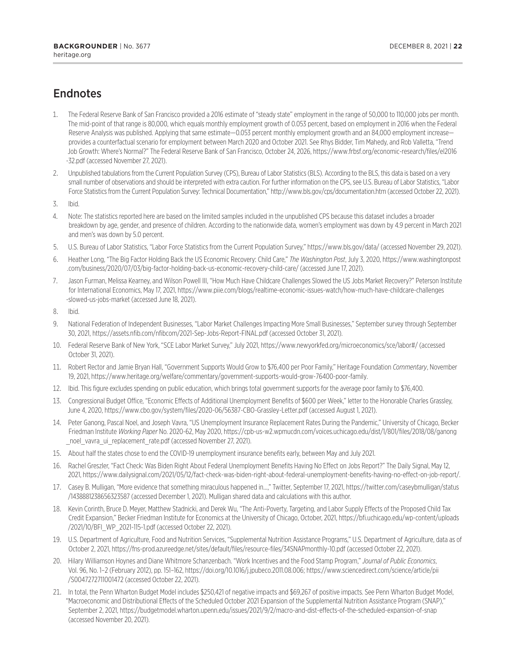# <span id="page-21-0"></span>**Endnotes**

- [1.](#page-2-0) The Federal Reserve Bank of San Francisco provided a 2016 estimate of "steady state" employment in the range of 50,000 to 110,000 jobs per month. The mid-point of that range is 80,000, which equals monthly employment growth of 0.053 percent, based on employment in 2016 when the Federal Reserve Analysis was published. Applying that same estimate—0.053 percent monthly employment growth and an 84,000 employment increase provides a counterfactual scenario for employment between March 2020 and October 2021. See Rhys Bidder, Tim Mahedy, and Rob Valletta, "Trend Job Growth: Where's Normal?" The Federal Reserve Bank of San Francisco, October 24, 2026, [https://www.frbsf.org/economic-research/files/el2016](https://www.frbsf.org/economic-research/files/el2016-32.pdf) [-32.pdf](https://www.frbsf.org/economic-research/files/el2016-32.pdf) (accessed November 27, 2021).
- [2.](#page-2-0) Unpublished tabulations from the Current Population Survey (CPS), Bureau of Labor Statistics (BLS). According to the BLS, this data is based on a very small number of observations and should be interpreted with extra caution. For further information on the CPS, see U.S. Bureau of Labor Statistics, "Labor Force Statistics from the Current Population Survey: Technical Documentation,"<http://www.bls.gov/cps/documentation.htm> (accessed October 22, 2021).
- [3.](#page-3-0) Ibid.
- [4.](#page-3-0) Note: The statistics reported here are based on the limited samples included in the unpublished CPS because this dataset includes a broader breakdown by age, gender, and presence of children. According to the nationwide data, women's employment was down by 4.9 percent in March 2021 and men's was down by 5.0 percent.
- [5](#page-5-0). U.S. Bureau of Labor Statistics, "Labor Force Statistics from the Current Population Survey," <https://www.bls.gov/data/> (accessed November 29, 2021).
- [6](#page-6-0). Heather Long, "The Big Factor Holding Back the US Economic Recovery: Child Care," *The Washington Post*, July 3, 2020, [https://www.washingtonpost](https://www.washingtonpost.com/business/2020/07/03/big-factor-holding-back-us-economic-recovery-child-care/) [.com/business/2020/07/03/big-factor-holding-back-us-economic-recovery-child-care/](https://www.washingtonpost.com/business/2020/07/03/big-factor-holding-back-us-economic-recovery-child-care/) (accessed June 17, 2021).
- [7.](#page-7-0) Jason Furman, Melissa Kearney, and Wilson Powell III, "How Much Have Childcare Challenges Slowed the US Jobs Market Recovery?" Peterson Institute for International Economics, May 17, 2021, [https://www.piie.com/blogs/realtime-economic-issues-watch/how-much-have-childcare-challenges](https://www.piie.com/blogs/realtime-economic-issues-watch/how-much-have-childcare-challenges-slowed-us-jobs-market) [-slowed-us-jobs-market](https://www.piie.com/blogs/realtime-economic-issues-watch/how-much-have-childcare-challenges-slowed-us-jobs-market) (accessed June 18, 2021).
- [8](#page-7-0). Ibid.
- [9](#page-8-0). National Federation of Independent Businesses, "Labor Market Challenges Impacting More Small Businesses," September survey through September 30, 2021, <https://assets.nfib.com/nfibcom/2021-Sep-Jobs-Report-FINAL.pdf>(accessed October 31, 2021).
- [10.](#page-8-0) Federal Reserve Bank of New York, "SCE Labor Market Survey," July 2021, <https://www.newyorkfed.org/microeconomics/sce/labor#/>(accessed October 31, 2021).
- [11.](#page-8-0) Robert Rector and Jamie Bryan Hall, "Government Supports Would Grow to \$76,400 per Poor Family," Heritage Foundation *Commentary*, November 19, 2021,<https://www.heritage.org/welfare/commentary/government-supports-would-grow-76400-poor-family>.
- [12.](#page-8-0) Ibid. This figure excludes spending on public education, which brings total government supports for the average poor family to \$76,400.
- [13.](#page-9-0) Congressional Budget Office, "Economic Effects of Additional Unemployment Benefits of \$600 per Week," letter to the Honorable Charles Grassley, June 4, 2020,<https://www.cbo.gov/system/files/2020-06/56387-CBO-Grassley-Letter.pdf> (accessed August 1, 2021).
- [14.](#page-9-0) Peter Ganong, Pascal Noel, and Joseph Vavra, "US Unemployment Insurance Replacement Rates During the Pandemic," University of Chicago, Becker Friedman Institute *Working Paper* No. 2020-62, May 2020, [https://cpb-us-w2.wpmucdn.com/voices.uchicago.edu/dist/1/801/files/2018/08/ganong](https://cpb-us-w2.wpmucdn.com/voices.uchicago.edu/dist/1/801/files/2018/08/ganong_noel_vavra_ui_replacement_rate.pdf) [\\_noel\\_vavra\\_ui\\_replacement\\_rate.pdf](https://cpb-us-w2.wpmucdn.com/voices.uchicago.edu/dist/1/801/files/2018/08/ganong_noel_vavra_ui_replacement_rate.pdf) (accessed November 27, 2021).
- [15.](#page-9-0) About half the states chose to end the COVID-19 unemployment insurance benefits early, between May and July 2021.
- [16.](#page-9-0) Rachel Greszler, "Fact Check: Was Biden Right About Federal Unemployment Benefits Having No Effect on Jobs Report?" The Daily Signal, May 12, 2021, [https://www.dailysignal.com/2021/05/12/fact-check-was-biden-right-about-federal-unemployment-benefits-having-no-effect-on-job-report/.](https://www.dailysignal.com/2021/05/12/fact-check-was-biden-right-about-federal-unemployment-benefits-having-no-effect-on-job-report/)
- [17.](#page-9-0) Casey B. Mulligan, "More evidence that something miraculous happened in…," Twitter, September 17, 2021, [https://twitter.com/caseybmulligan/status](https://twitter.com/caseybmulligan/status/1438881238656323587) [/1438881238656323587](https://twitter.com/caseybmulligan/status/1438881238656323587) (accessed December 1, 2021). Mulligan shared data and calculations with this author.
- [18.](#page-12-0) Kevin Corinth, Bruce D. Meyer, Matthew Stadnicki, and Derek Wu, "The Anti-Poverty, Targeting, and Labor Supply Effects of the Proposed Child Tax Credit Expansion," Becker Friedman Institute for Economics at the University of Chicago, October, 2021, [https://bfi.uchicago.edu/wp-content/uploads](https://bfi.uchicago.edu/wp-content/uploads/2021/10/BFI_WP_2021-115-1.pdf) [/2021/10/BFI\\_WP\\_2021-115-1.pdf](https://bfi.uchicago.edu/wp-content/uploads/2021/10/BFI_WP_2021-115-1.pdf) (accessed October 22, 2021).
- [19.](#page-12-0) U.S. Department of Agriculture, Food and Nutrition Services, "Supplemental Nutrition Assistance Programs," U.S. Department of Agriculture, data as of October 2, 2021, <https://fns-prod.azureedge.net/sites/default/files/resource-files/34SNAPmonthly-10.pdf> (accessed October 22, 2021).
- [20](#page-12-0). Hilary Williamson Hoynes and Diane Whitmore Schanzenbach. "Work Incentives and the Food Stamp Program," *Journal of Public Economics*, Vol. 96, No. 1–2 (February 2012), pp. 151–162, <https://doi.org/10.1016/j.jpubeco.2011.08.006>; [https://www.sciencedirect.com/science/article/pii](https://www.sciencedirect.com/science/article/pii/S0047272711001472) [/S0047272711001472](https://www.sciencedirect.com/science/article/pii/S0047272711001472) (accessed October 22, 2021).
- [21](#page-12-0). In total, the Penn Wharton Budget Model includes \$250,421 of negative impacts and \$69,267 of positive impacts. See Penn Wharton Budget Model, "Macroeconomic and Distributional Effects of the Scheduled October 2021 Expansion of the Supplemental Nutrition Assistance Program (SNAP)," September 2, 2021,<https://budgetmodel.wharton.upenn.edu/issues/2021/9/2/macro-and-dist-effects-of-the-scheduled-expansion-of-snap> (accessed November 20, 2021).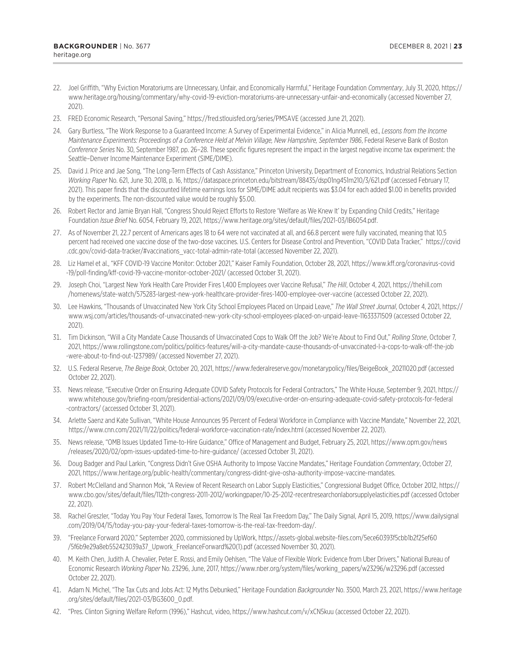- <span id="page-22-0"></span>[22](#page-12-0). Joel Griffith, "Why Eviction Moratoriums are Unnecessary, Unfair, and Economically Harmful," Heritage Foundation *Commentary*, July 31, 2020, [https://](https://www.heritage.org/housing/commentary/why-covid-19-eviction-moratoriums-are-unnecessary-unfair-and-economically) [www.heritage.org/housing/commentary/why-covid-19-eviction-moratoriums-are-unnecessary-unfair-and-economically](https://www.heritage.org/housing/commentary/why-covid-19-eviction-moratoriums-are-unnecessary-unfair-and-economically) (accessed November 27, 2021).
- [23](#page-13-0). FRED Economic Research, "Personal Saving,"<https://fred.stlouisfed.org/series/PMSAVE> (accessed June 21, 2021).
- [24](#page-13-0). Gary Burtless, "The Work Response to a Guaranteed Income: A Survey of Experimental Evidence," in Alicia Munnell, ed., *Lessons from the Income Maintenance Experiments: Proceedings of a Conference Held at Melvin Village, New Hampshire, September 1986*, Federal Reserve Bank of Boston *Conference Series* No. 30, September 1987, pp. 26–28. These specific figures represent the impact in the largest negative income tax experiment: the Seattle–Denver Income Maintenance Experiment (SIME/DIME).
- [25](#page-13-0). David J. Price and Jae Song, "The Long-Term Effects of Cash Assistance," Princeton University, Department of Economics, Industrial Relations Section *Working Paper* No. 621, June 30, 2018, p. 16, <https://dataspace.princeton.edu/bitstream/88435/dsp01ng451m210/3/621.pdf>(accessed February 17, 2021). This paper finds that the discounted lifetime earnings loss for SIME/DIME adult recipients was \$3.04 for each added \$1.00 in benefits provided by the experiments. The non-discounted value would be roughly \$5.00.
- [26](#page-13-0). Robert Rector and Jamie Bryan Hall, "Congress Should Reject Efforts to Restore 'Welfare as We Knew It' by Expanding Child Credits," Heritage Foundation *Issue Brief* No. 6054, February 19, 2021, [https://www.heritage.org/sites/default/files/2021-03/IB6054.pdf.](https://www.heritage.org/sites/default/files/2021-03/IB6054.pdf)
- [27](#page-13-0). As of November 21, 22.7 percent of Americans ages 18 to 64 were not vaccinated at all, and 66.8 percent were fully vaccinated, meaning that 10.5 percent had received one vaccine dose of the two-dose vaccines. U.S. Centers for Disease Control and Prevention, "COVID Data Tracker," [https://covid](https://covid.cdc.gov/covid-data-tracker/#vaccinations_vacc-total-admin-rate-total) [.cdc.gov/covid-data-tracker/#vaccinations\\_vacc-total-admin-rate-total](https://covid.cdc.gov/covid-data-tracker/#vaccinations_vacc-total-admin-rate-total) (accessed November 22, 2021).
- [28](#page-13-0). Liz Hamel et al., "KFF COVID-19 Vaccine Monitor: October 2021," Kaiser Family Foundation, October 28, 2021, [https://www.kff.org/coronavirus-covid](https://www.kff.org/coronavirus-covid-19/poll-finding/kff-covid-19-vaccine-monitor-october-2021/) [-19/poll-finding/kff-covid-19-vaccine-monitor-october-2021/](https://www.kff.org/coronavirus-covid-19/poll-finding/kff-covid-19-vaccine-monitor-october-2021/) (accessed October 31, 2021).
- [29](#page-13-0). Joseph Choi, "Largest New York Health Care Provider Fires 1,400 Employees over Vaccine Refusal," *The Hill*, October 4, 2021, [https://thehill.com](https://thehill.com/homenews/state-watch/575283-largest-new-york-healthcare-provider-fires-1400-employee-over-vaccine) [/homenews/state-watch/575283-largest-new-york-healthcare-provider-fires-1400-employee-over-vaccine](https://thehill.com/homenews/state-watch/575283-largest-new-york-healthcare-provider-fires-1400-employee-over-vaccine) (accessed October 22, 2021).
- [30.](#page-14-0) Lee Hawkins, "Thousands of Unvaccinated New York City School Employees Placed on Unpaid Leave," *The Wall Street Journal*, October 4, 2021, [https://](https://www.wsj.com/articles/thousands-of-unvaccinated-new-york-city-school-employees-placed-on-unpaid-leave-11633371509) [www.wsj.com/articles/thousands-of-unvaccinated-new-york-city-school-employees-placed-on-unpaid-leave-11633371509](https://www.wsj.com/articles/thousands-of-unvaccinated-new-york-city-school-employees-placed-on-unpaid-leave-11633371509) (accessed October 22, 2021).
- [31.](#page-14-0) Tim Dickinson, "Will a City Mandate Cause Thousands of Unvaccinated Cops to Walk Off the Job? We're About to Find Out," *Rolling Stone*, October 7, 2021, [https://www.rollingstone.com/politics/politics-features/will-a-city-mandate-cause-thousands-of-unvaccinated-l-a-cops-to-walk-off-the-job](https://www.rollingstone.com/politics/politics-features/will-a-city-mandate-cause-thousands-of-unvaccinated-l-a-cops-to-walk-off-the-job-were-about-to-find-out-1237989/) [-were-about-to-find-out-1237989/](https://www.rollingstone.com/politics/politics-features/will-a-city-mandate-cause-thousands-of-unvaccinated-l-a-cops-to-walk-off-the-job-were-about-to-find-out-1237989/) (accessed November 27, 2021).
- [32.](#page-14-0) U.S. Federal Reserve, *The Beige Book*, October 20, 2021, [https://www.federalreserve.gov/monetarypolicy/files/BeigeBook\\_20211020.pdf](https://www.federalreserve.gov/monetarypolicy/files/BeigeBook_20211020.pdf) (accessed October 22, 2021).
- [33.](#page-14-0) News release, "Executive Order on Ensuring Adequate COVID Safety Protocols for Federal Contractors," The White House, September 9, 2021, [https://](https://www.whitehouse.gov/briefing-room/presidential-actions/2021/09/09/executive-order-on-ensuring-adequate-covid-safety-protocols-for-federal-contractors/) [www.whitehouse.gov/briefing-room/presidential-actions/2021/09/09/executive-order-on-ensuring-adequate-covid-safety-protocols-for-federal](https://www.whitehouse.gov/briefing-room/presidential-actions/2021/09/09/executive-order-on-ensuring-adequate-covid-safety-protocols-for-federal-contractors/) [-contractors/](https://www.whitehouse.gov/briefing-room/presidential-actions/2021/09/09/executive-order-on-ensuring-adequate-covid-safety-protocols-for-federal-contractors/) (accessed October 31, 2021).
- [34.](#page-14-0) Arlette Saenz and Kate Sullivan, "White House Announces 95 Percent of Federal Workforce in Compliance with Vaccine Mandate," November 22, 2021, <https://www.cnn.com/2021/11/22/politics/federal-workforce-vaccination-rate/index.html> (accessed November 22, 2021).
- [35.](#page-14-0) News release, "OMB Issues Updated Time-to-Hire Guidance," Office of Management and Budget, February 25, 2021, [https://www.opm.gov/news](https://www.opm.gov/news/releases/2020/02/opm-issues-updated-time-to-hire-guidance/) [/releases/2020/02/opm-issues-updated-time-to-hire-guidance/](https://www.opm.gov/news/releases/2020/02/opm-issues-updated-time-to-hire-guidance/) (accessed October 31, 2021).
- [36.](#page-14-0) Doug Badger and Paul Larkin, "Congress Didn't Give OSHA Authority to Impose Vaccine Mandates," Heritage Foundation *Commentary*, October 27, 2021, [https://www.heritage.org/public-health/commentary/congress-didnt-give-osha-authority-impose-vaccine-mandates.](https://www.heritage.org/public-health/commentary/congress-didnt-give-osha-authority-impose-vaccine-mandates)
- [37.](#page-15-0) Robert McClelland and Shannon Mok, "A Review of Recent Research on Labor Supply Elasticities," Congressional Budget Office, October 2012, [https://](https://www.cbo.gov/sites/default/files/112th-congress-2011-2012/workingpaper/10-25-2012-recentresearchonlaborsupplyelasticities.pdf) [www.cbo.gov/sites/default/files/112th-congress-2011-2012/workingpaper/10-25-2012-recentresearchonlaborsupplyelasticities.pdf](https://www.cbo.gov/sites/default/files/112th-congress-2011-2012/workingpaper/10-25-2012-recentresearchonlaborsupplyelasticities.pdf) (accessed October 22, 2021).
- [38.](#page-15-0) Rachel Greszler, "Today You Pay Your Federal Taxes, Tomorrow Is The Real Tax Freedom Day," The Daily Signal, April 15, 2019, [https://www.dailysignal](https://www.dailysignal.com/2019/04/15/today-you-pay-your-federal-taxes-tomorrow-is-the-real-tax-freedom-day/) [.com/2019/04/15/today-you-pay-your-federal-taxes-tomorrow-is-the-real-tax-freedom-day/.](https://www.dailysignal.com/2019/04/15/today-you-pay-your-federal-taxes-tomorrow-is-the-real-tax-freedom-day/)
- [39.](#page-15-0) "Freelance Forward 2020," September 2020, commissioned by UpWork, [https://assets-global.website-files.com/5ece60393f5cbb1b2f25ef60](https://assets-global.website-files.com/5ece60393f5cbb1b2f25ef60/5f6b9e29a8eb552423039a37_Upwork_FreelanceForward%20(1).pdf) [/5f6b9e29a8eb552423039a37\\_Upwork\\_FreelanceForward%20\(1\).pdf](https://assets-global.website-files.com/5ece60393f5cbb1b2f25ef60/5f6b9e29a8eb552423039a37_Upwork_FreelanceForward%20(1).pdf) (accessed November 30, 2021).
- [40.](#page-15-0) M. Keith Chen, Judith A. Chevalier, Peter E. Rossi, and Emily Oehlsen, "The Value of Flexible Work: Evidence from Uber Drivers," National Bureau of Economic Research *Working Paper* No. 23296, June, 2017, [https://www.nber.org/system/files/working\\_papers/w23296/w23296.pdf](https://www.nber.org/system/files/working_papers/w23296/w23296.pdf) (accessed October 22, 2021).
- [41.](#page-16-0) Adam N. Michel, "The Tax Cuts and Jobs Act: 12 Myths Debunked," Heritage Foundation *Backgrounder* No. 3500, March 23, 2021, [https://www.heritage](https://www.heritage.org/sites/default/files/2021-03/BG3600_0.pdf) [.org/sites/default/files/2021-03/BG3600\\_0.pdf](https://www.heritage.org/sites/default/files/2021-03/BG3600_0.pdf).
- [42.](#page-17-0) "Pres. Clinton Signing Welfare Reform (1996)," Hashcut, video, <https://www.hashcut.com/v/xCN5kuu> (accessed October 22, 2021).